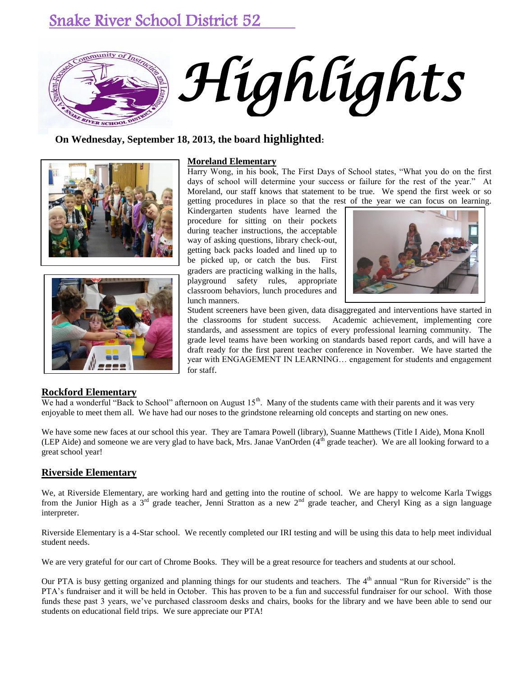# Snake River School District 52



## **On Wednesday, September 18, 2013, the board highlighted:**





#### **Moreland Elementary**

Harry Wong, in his book, The First Days of School states, "What you do on the first days of school will determine your success or failure for the rest of the year." At Moreland, our staff knows that statement to be true. We spend the first week or so getting procedures in place so that the rest of the year we can focus on learning.

Kindergarten students have learned the procedure for sitting on their pockets during teacher instructions, the acceptable way of asking questions, library check-out, getting back packs loaded and lined up to be picked up, or catch the bus. First graders are practicing walking in the halls, playground safety rules, appropriate classroom behaviors, lunch procedures and lunch manners.



Student screeners have been given, data disaggregated and interventions have started in the classrooms for student success. Academic achievement, implementing core standards, and assessment are topics of every professional learning community. The grade level teams have been working on standards based report cards, and will have a draft ready for the first parent teacher conference in November. We have started the year with ENGAGEMENT IN LEARNING… engagement for students and engagement for staff.

### **Rockford Elementary**

We had a wonderful "Back to School" afternoon on August 15<sup>th</sup>. Many of the students came with their parents and it was very enjoyable to meet them all. We have had our noses to the grindstone relearning old concepts and starting on new ones.

We have some new faces at our school this year. They are Tamara Powell (library), Suanne Matthews (Title I Aide), Mona Knoll (LEP Aide) and someone we are very glad to have back, Mrs. Janae VanOrden  $(4<sup>th</sup>$  grade teacher). We are all looking forward to a great school year!

#### **Riverside Elementary**

We, at Riverside Elementary, are working hard and getting into the routine of school. We are happy to welcome Karla Twiggs from the Junior High as a 3<sup>rd</sup> grade teacher, Jenni Stratton as a new 2<sup>nd</sup> grade teacher, and Cheryl King as a sign language interpreter.

Riverside Elementary is a 4-Star school. We recently completed our IRI testing and will be using this data to help meet individual student needs.

We are very grateful for our cart of Chrome Books. They will be a great resource for teachers and students at our school.

Our PTA is busy getting organized and planning things for our students and teachers. The  $4<sup>th</sup>$  annual "Run for Riverside" is the PTA's fundraiser and it will be held in October. This has proven to be a fun and successful fundraiser for our school. With those funds these past 3 years, we've purchased classroom desks and chairs, books for the library and we have been able to send our students on educational field trips. We sure appreciate our PTA!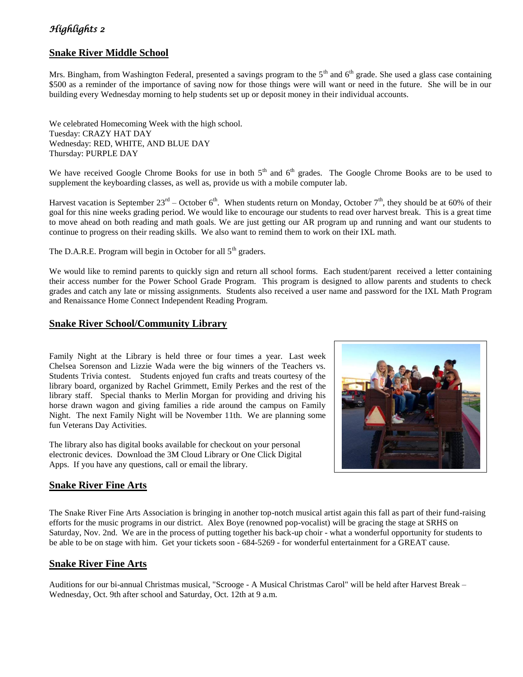## *Highlights 2*

## **Snake River Middle School**

Mrs. Bingham, from Washington Federal, presented a savings program to the  $5<sup>th</sup>$  and  $6<sup>th</sup>$  grade. She used a glass case containing \$500 as a reminder of the importance of saving now for those things were will want or need in the future. She will be in our building every Wednesday morning to help students set up or deposit money in their individual accounts.

We celebrated Homecoming Week with the high school. Tuesday: CRAZY HAT DAY Wednesday: RED, WHITE, AND BLUE DAY Thursday: PURPLE DAY

We have received Google Chrome Books for use in both  $5<sup>th</sup>$  and  $6<sup>th</sup>$  grades. The Google Chrome Books are to be used to supplement the keyboarding classes, as well as, provide us with a mobile computer lab.

Harvest vacation is September  $23^{rd}$  – October 6<sup>th</sup>. When students return on Monday, October 7<sup>th</sup>, they should be at 60% of their goal for this nine weeks grading period. We would like to encourage our students to read over harvest break. This is a great time to move ahead on both reading and math goals. We are just getting our AR program up and running and want our students to continue to progress on their reading skills. We also want to remind them to work on their IXL math.

The D.A.R.E. Program will begin in October for all  $5<sup>th</sup>$  graders.

We would like to remind parents to quickly sign and return all school forms. Each student/parent received a letter containing their access number for the Power School Grade Program. This program is designed to allow parents and students to check grades and catch any late or missing assignments. Students also received a user name and password for the IXL Math Program and Renaissance Home Connect Independent Reading Program.

## **Snake River School/Community Library**

Family Night at the Library is held three or four times a year. Last week Chelsea Sorenson and Lizzie Wada were the big winners of the Teachers vs. Students Trivia contest. Students enjoyed fun crafts and treats courtesy of the library board, organized by Rachel Grimmett, Emily Perkes and the rest of the library staff. Special thanks to Merlin Morgan for providing and driving his horse drawn wagon and giving families a ride around the campus on Family Night. The next Family Night will be November 11th. We are planning some fun Veterans Day Activities.

The library also has digital books available for checkout on your personal electronic devices. Download the 3M Cloud Library or One Click Digital Apps. If you have any questions, call or email the library.

## **Snake River Fine Arts**

The Snake River Fine Arts Association is bringing in another top-notch musical artist again this fall as part of their fund-raising efforts for the music programs in our district. Alex Boye (renowned pop-vocalist) will be gracing the stage at SRHS on Saturday, Nov. 2nd. We are in the process of putting together his back-up choir - what a wonderful opportunity for students to be able to be on stage with him. Get your tickets soon - 684-5269 - for wonderful entertainment for a GREAT cause.

## **Snake River Fine Arts**

Auditions for our bi-annual Christmas musical, "Scrooge - A Musical Christmas Carol" will be held after Harvest Break – Wednesday, Oct. 9th after school and Saturday, Oct. 12th at 9 a.m.